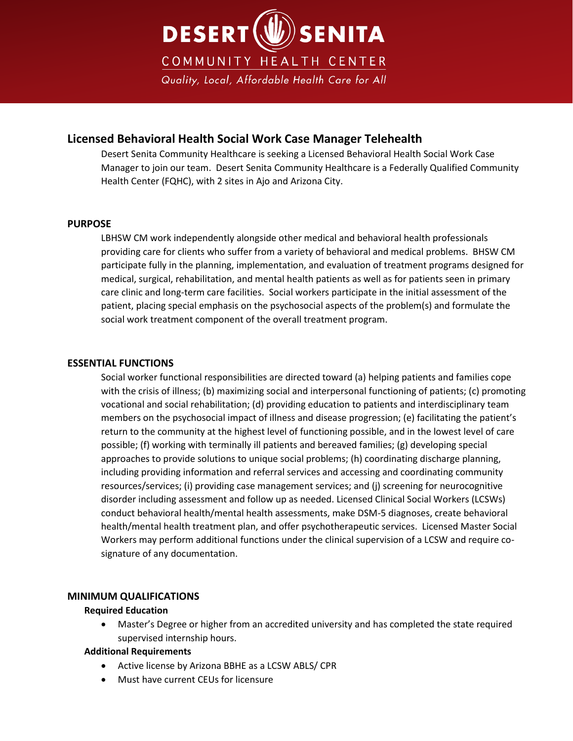

# **Licensed Behavioral Health Social Work Case Manager Telehealth**

Desert Senita Community Healthcare is seeking a Licensed Behavioral Health Social Work Case Manager to join our team. Desert Senita Community Healthcare is a Federally Qualified Community Health Center (FQHC), with 2 sites in Ajo and Arizona City.

## **PURPOSE**

LBHSW CM work independently alongside other medical and behavioral health professionals providing care for clients who suffer from a variety of behavioral and medical problems. BHSW CM participate fully in the planning, implementation, and evaluation of treatment programs designed for medical, surgical, rehabilitation, and mental health patients as well as for patients seen in primary care clinic and long-term care facilities. Social workers participate in the initial assessment of the patient, placing special emphasis on the psychosocial aspects of the problem(s) and formulate the social work treatment component of the overall treatment program.

## **ESSENTIAL FUNCTIONS**

Social worker functional responsibilities are directed toward (a) helping patients and families cope with the crisis of illness; (b) maximizing social and interpersonal functioning of patients; (c) promoting vocational and social rehabilitation; (d) providing education to patients and interdisciplinary team members on the psychosocial impact of illness and disease progression; (e) facilitating the patient's return to the community at the highest level of functioning possible, and in the lowest level of care possible; (f) working with terminally ill patients and bereaved families; (g) developing special approaches to provide solutions to unique social problems; (h) coordinating discharge planning, including providing information and referral services and accessing and coordinating community resources/services; (i) providing case management services; and (j) screening for neurocognitive disorder including assessment and follow up as needed. Licensed Clinical Social Workers (LCSWs) conduct behavioral health/mental health assessments, make DSM-5 diagnoses, create behavioral health/mental health treatment plan, and offer psychotherapeutic services. Licensed Master Social Workers may perform additional functions under the clinical supervision of a LCSW and require cosignature of any documentation.

## **MINIMUM QUALIFICATIONS**

#### **Required Education**

• Master's Degree or higher from an accredited university and has completed the state required supervised internship hours.

#### **Additional Requirements**

- Active license by Arizona BBHE as a LCSW ABLS/ CPR
- Must have current CEUs for licensure